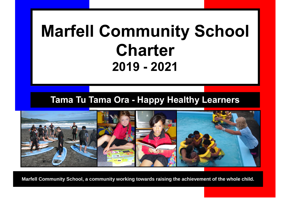# **Marfell Community School Charter 2019 - 2021**

# **Tama Tu Tama Ora - Happy Healthy Learners**



**Marfell Community School, a community working towards raising the achievement of the whole child.**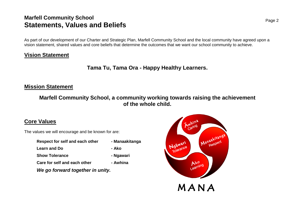### **Marfell Community School Statements, Values and Beliefs**

As part of our development of our Charter and Strategic Plan, Marfell Community School and the local community have agreed upon a vision statement, shared values and core beliefs that determine the outcomes that we want our school community to achieve.

#### **Vision Statement**

**Tama Tu, Tama Ora - Happy Healthy Learners.**

#### **Mission Statement**

**Marfell Community School, a community working towards raising the achievement of the whole child.**

#### **Core Values**

The values we will encourage and be known for are:

**Respect for self and each other - Manaakitanga Learn and Do - Ako Show Tolerance 1988** - **Ngawari Care for self and each other - Awhina**



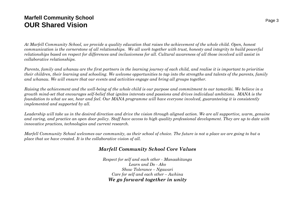### **Marfell Community School OUR Shared Vision**

*At Marfell Community School, we provide a quality education that raises the achievement of the whole child. Open, honest communication is the cornerstone of all relationships. We all work together with trust, honesty and integrity to build powerful relationships based on respect for differences and inclusiveness for all. Cultural awareness of all those involved will assist in collaborative relationships.*

*Parents, family and whanau are the first partners in the learning journey of each child, and realise it is important to prioritise their children, their learning and schooling. We welcome opportunities to tap into the strengths and talents of the parents, family and whanau. We will ensure that our events and activities engage and bring all groups together.*

*Raising the achievement and the well-being of the whole child is our purpose and commitment to our tamariki. We believe in a growth mind-set that encourages self-belief that ignites interests and passions and drives individual ambitions. MANA is the foundation to what we see, hear and feel. Our MANA programme will have everyone involved, guaranteeing it is consistently implemented and supported by all.*

*Leadership will take us in the desired direction and drive the vision through aligned action. We are all supportive, warm, genuine and caring, and practice an open door policy. Staff have access to high quality professional development. They are up to date with innovative practices, technologies and current research.*

*Marfell Community School welcomes our community, as their school of choice. The future is not a place we are going to but a place that we have created. It is the collaborative vision of all.*

#### *Marfell Community School Core Values*

*Respect for self and each other - Manaakitanga Learn and Do - Ako Show Tolerance – Ngawari Care for self and each other – Awhina We go forward together in unity*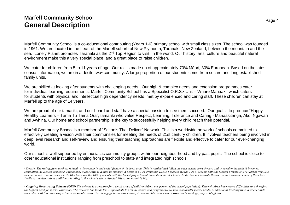### **Marfell Community School General Description**

 $\overline{a}$ 

Marfell Community School is a co-educational contributing (Years 1-6) primary school with small class sizes. The school was founded in 1961. We are located in the heart of the Marfell suburb of New Plymouth, Taranaki, New Zealand, between the mountain and the sea. Lonely Planet promotes Taranaki as the 2<sup>nd</sup> Top Region to visit, in the world. Our history, arts, culture and beautiful natural environment make this a very special place, and a great place to raise children.

We cater for children from 5 to 11 years of age. Our roll is made up of approximately 70% Māori, 30% European. Based on the latest census information, we are in a decile two<sup>1</sup> community. A large proportion of our students come from secure and long established family units.

We are skilled at looking after students with challenging needs. Our high & complex needs and extension programmes cater for individual learning requirements. Marfell Community School has a Specialist O.R.S.<sup>2</sup> Unit – Whare Manaaki, which caters for students with physical and intellectual high dependency needs, met by experienced and caring staff. These children can stay at Marfell up to the age of 14 years.

We are proud of our tamariki, and our board and staff have a special passion to see them succeed. Our goal is to produce "Happy Healthy Learners – Tama Tu Tama Ora", tamariki who value Respect, Learning, Tolerance and Caring - Manaakitanga, Ako, Ngawari and Awhina. Our home and school partnership is the key to successfully helping every child reach their potential.

Marfell Community School is a member of "Schools That Deliver" Network. This is a worldwide network of schools committed to effectively creating a vision with their communities for meeting the needs of 21st century children. It involves teachers being involved in deep level research and self-review and ensuring their teaching approaches are flexible and effective to cater for our ever-changing world.

Our school is well supported by enthusiastic community groups within our neighbourhood and by past pupils. The school is close to other educational institutions ranging from preschool to state and integrated high schools.

<sup>&</sup>lt;sup>1</sup> Decile. The rating given a school related to the economic and social factors of the local area. This is recalculated following each census every 5 years and is based on household incomes, *occupation, household crowding, educational qualifications & income support. A decile is a 10% grouping. Decile 1 schools are the 10% of schools with the highest proportion of students from low*  socio-economic communities. Decile 10 schools are the 10% of schools with the lowest proportion of these students. A school's decile does not indicate the overall socio-economic mix of the school. *Decile rating determines additional funding to the school such as Special Education Grant (SEG).*

*<sup>2</sup> Ongoing Resourcing Scheme (ORS) The scheme is a resource for a small group of children (about one percent of the school population). These children have severe difficulties and therefore the highest need for special education. The resource has funds for: 1. specialists to provide advice and programmes to meet a student's special needs, 2. additional teaching time, 3.teacher aide time when children need support with personal care and/or to engage in the curriculum, 4. consumable items such as assistive technology, disposable gloves.*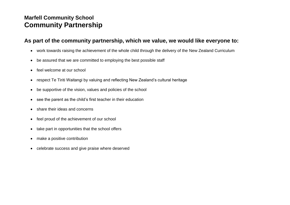### **Marfell Community School Community Partnership**

#### **As part of the community partnership, which we value, we would like everyone to:**

- work towards raising the achievement of the whole child through the delivery of the New Zealand Curriculum
- be assured that we are committed to employing the best possible staff
- feel welcome at our school
- respect Te Tiriti Waitangi by valuing and reflecting New Zealand's cultural heritage
- be supportive of the vision, values and policies of the school
- see the parent as the child's first teacher in their education
- share their ideas and concerns
- feel proud of the achievement of our school
- take part in opportunities that the school offers
- make a positive contribution
- celebrate success and give praise where deserved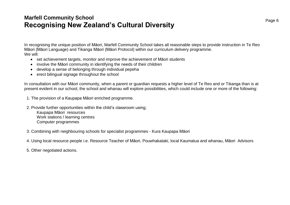### **Marfell Community School Recognising New Zealand's Cultural Diversity**

In recognising the unique position of Māori, Marfell Community School takes all reasonable steps to provide instruction in Te Reo Māori (Māori Language) and Tikanga Māori (Māori Protocol) within our curriculum delivery programme. We will:

- set achievement targets, monitor and improve the achievement of Māori students
- involve the Māori community in identifying the needs of their children
- develop a sense of belonging through individual pepeha
- erect bilingual signage throughout the school

In consultation with our Māori community, when a parent or guardian requests a higher level of Te Reo and or Tikanga than is at present evident in our school, the school and whanau will explore possibilities, which could include one or more of the following:

- 1. The provision of a Kaupapa Māori enriched programme.
- 2. Provide further opportunities within the child's classroom using; Kaupapa Māori resources Work stations / learning centres Computer programmes
- 3. Combining with neighbouring schools for specialist programmes Kura Kaupapa Māori
- 4. Using local resource people i.e. Resource Teacher of Māori, Pouwhakataki, local Kaumatua and whanau, Māori Advisors
- 5. Other negotiated actions.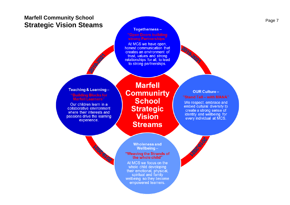### **Marfell Community School Strategic Vision Steams**

#### **Togetherness-**

## "Open Doors building

At MCS we have open, honest communication that creates an environment of trust, values and strong relationships for all, to lead to strong partnerships.

#### Teaching & Learning-'Building Blocks for **Marfell Learners"**

Our children learn in a collaborative environment where their interests and passions drive the learning experience.

COC. 6LOC

**Marfell Communirty School Strategic Vision Streams** 

**OUR Culture-**"Stand Tall - with MANA"

2019.2027

We respect, embrace and embed cultural diversity to create a strong sense of identity and wellbeing for every individual at MCS.

**Wholeness and** Wellbeing-"Weaving the Strands of the whole child"

At MCS we focus on the whole child developing their emotional, physical, spiritual and family wellbeing so they become empowered learners.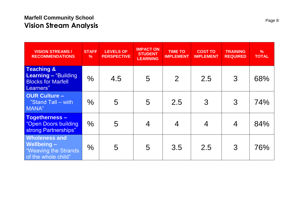### **Marfell Community School Vision Stream Analysis**

| <b>VISION STREAMS /</b><br><b>RECOMMENDATIONS</b>                                         | <b>STAFF</b><br>$\frac{9}{6}$ | <b>LEVELS OF</b><br><b>PERSPECTIVE</b> | <b>IMPACT ON</b><br><b>STUDENT</b><br><b>LEARNING</b> | <b>TIME TO</b><br><b>IMPLEMENT</b> | <b>COST TO</b><br><b>IMPLEMENT</b> | <b>TRAINING</b><br><b>REQUIRED</b> | $\frac{9}{6}$<br><b>TOTAL</b> |
|-------------------------------------------------------------------------------------------|-------------------------------|----------------------------------------|-------------------------------------------------------|------------------------------------|------------------------------------|------------------------------------|-------------------------------|
| <b>Teaching &amp;</b><br>Learning - "Building"<br><b>Blocks for Marfell</b><br>Learners"  | $\frac{0}{0}$                 | 4.5                                    | 5                                                     | $\overline{2}$                     | 2.5                                | $\mathcal{S}$                      | 68%                           |
| <b>OUR Culture -</b><br>"Stand Tall - with<br>MANA"                                       | $\frac{0}{0}$                 | 5                                      | 5                                                     | 2.5                                | 3                                  | $\mathcal{S}$                      | 74%                           |
| <b>Togetherness-</b><br>"Open Doors building<br>strong Partnerships"                      | $\frac{0}{0}$                 | 5                                      | $\overline{4}$                                        | 4                                  | 4                                  | $\overline{4}$                     | 84%                           |
| <b>Wholeness and</b><br><b>Wellbeing-</b><br>"Weaving the Strands"<br>of the whole child" | $\frac{0}{0}$                 | 5                                      | 5                                                     | 3.5                                | 2.5                                | $\mathcal{S}$                      | 76%                           |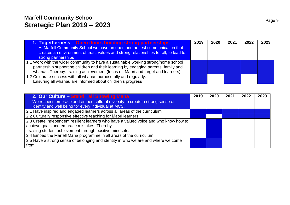### **Marfell Community School Strategic Plan 2019 – 2023**

| 1. Togetherness - Open doors building strong partnerships                            | 2019 | 2020 | 2021 | 2022 | 2023 |
|--------------------------------------------------------------------------------------|------|------|------|------|------|
| At Marfell Community School we have an open and honest communication that            |      |      |      |      |      |
| creates an environment of trust, values and strong relationships for all, to lead to |      |      |      |      |      |
| strong partnerships                                                                  |      |      |      |      |      |
| 1.1 Work with the wider community to have a sustainable working strong/home school   |      |      |      |      |      |
| partnership supporting children and their learning by engaging parents, family and   |      |      |      |      |      |
| whanau. Thereby: -raising achievement (focus on Maori and target and learners)       |      |      |      |      |      |
| 1.2 Celebrate success with all whanau purposefully and regularly.                    |      |      |      |      |      |
| Ensuring all whanau are informed about children's progress                           |      |      |      |      |      |

| 2. Our Culture - Stand Tall Showing Mana                                              | 2019 | 2020 | 2021 | 2022 | 2023 |
|---------------------------------------------------------------------------------------|------|------|------|------|------|
| We respect, embrace and embed cultural diversity to create a strong sense of          |      |      |      |      |      |
| identity and well being for every individual at MCS.                                  |      |      |      |      |      |
| 2.1 Have inspired and engaged learners across all areas of the curriculum.            |      |      |      |      |      |
| 2.2 Culturally responsive effective teaching for Māori learners                       |      |      |      |      |      |
| 2.3 Create independent resilient learners who have a valued voice and who know how to |      |      |      |      |      |
| achieve goals and embrace mistakes. Thereby:                                          |      |      |      |      |      |
| - raising student achievement through positive mindsets.                              |      |      |      |      |      |
| 2.4 Embed the Marfell Mana programme in all areas of the curriculum.                  |      |      |      |      |      |
| 2.5 Have a strong sense of belonging and identity in who we are and where we come     |      |      |      |      |      |
| from.                                                                                 |      |      |      |      |      |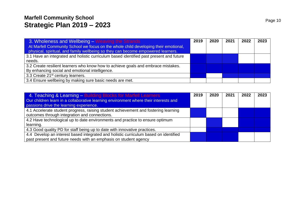### **Marfell Community School Strategic Plan 2019 – 2023**

| 3. Wholeness and Wellbeing – Weaving the Strands                                        | 2019 | 2020 | 2021 | 2022 | 2023 |
|-----------------------------------------------------------------------------------------|------|------|------|------|------|
| At Marfell Community School we focus on the whole child developing their emotional,     |      |      |      |      |      |
| physical, spiritual, and family wellbeing so they can become empowered learners.        |      |      |      |      |      |
| 3.1 Have an integrated and holistic curriculum based identified past present and future |      |      |      |      |      |
| needs.                                                                                  |      |      |      |      |      |
| 3.2 Create resilient learners who know how to achieve goals and embrace mistakes.       |      |      |      |      |      |
| By enhancing social and emotional intelligence.                                         |      |      |      |      |      |
| 3.3 Create 21 <sup>st</sup> century learners.                                           |      |      |      |      |      |
| 3.4 Ensure wellbeing by making sure basic needs are met.                                |      |      |      |      |      |

| 4. Teaching & Learning – Building Blocks for Marfell Learners<br>Our children learn in a collaborative learning environment where their interests and<br>passions drive the learning experience. | 2019 | 2020 | 2021 | 2022 | 2023 |
|--------------------------------------------------------------------------------------------------------------------------------------------------------------------------------------------------|------|------|------|------|------|
| 4.1 Accelerate student progress, raising student achievement and fostering learning<br>outcomes through integration and connections.                                                             |      |      |      |      |      |
| 4.2 Have technological up to date environments and practice to ensure optimum<br>learning.                                                                                                       |      |      |      |      |      |
| 4.3 Good quality PD for staff being up to date with innovative practices.                                                                                                                        |      |      |      |      |      |
| 4.4 Develop an interest based integrated and holistic curriculum based on identified<br>past present and future needs with an emphasis on student agency                                         |      |      |      |      |      |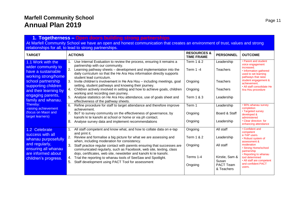#### **1. Togetherness – Open doors building strong partnerships**

At Marfell Community School we have an open and honest communication that creates an environment of trust, values and strong relationships for all, to lead to strong partnerships.

| <b>TARGET</b>                                                                                                                                                                                                     | <b>ACTIONS</b>                                                                                                                                                                                                                                                                                                                                                                                                                                                                                                                                                                                                                                                                                                                                  | <b>RESOURCES &amp;</b><br><b>TIME FRAME</b>                                     | <b>PERSONNEL</b>                                                                                  | <b>OUTCOME</b>                                                                                                                                                                                                                                    |
|-------------------------------------------------------------------------------------------------------------------------------------------------------------------------------------------------------------------|-------------------------------------------------------------------------------------------------------------------------------------------------------------------------------------------------------------------------------------------------------------------------------------------------------------------------------------------------------------------------------------------------------------------------------------------------------------------------------------------------------------------------------------------------------------------------------------------------------------------------------------------------------------------------------------------------------------------------------------------------|---------------------------------------------------------------------------------|---------------------------------------------------------------------------------------------------|---------------------------------------------------------------------------------------------------------------------------------------------------------------------------------------------------------------------------------------------------|
| 1.1 Work with the<br>wider community to<br>have a sustainable<br>working strong/home<br>school partnership<br>supporting children<br>and their learning by<br>engaging parents,<br>family and whanau.<br>Thereby: | Use Internal Evaluation to review the process, ensuring it remains a<br>partnership with our community.<br>Learning pathway sheets – development and implementation into the<br>daily curriculum so that the He Ara Hou information directly supports<br>student lead curriculum.<br>3.<br>Invite children's involvement in He Ara Hou - including meetings, goal<br>setting, student pathways and knowing their journey.<br>Children actively involved in setting and how to achieve goals, children<br>4.<br>working and recording own journey.<br>Analyse statistics on He Ara Hou attendance, use of goals sheet and<br>effectiveness of the pathway sheets.<br>6.<br>Refine procedure for staff to target attendance and therefore improve | Term 1 & 2<br>Term 1-4<br>Ongoing<br>Ongoing<br><b>Term 1 &amp; 3</b><br>Term 1 | Leadership<br>Teachers<br><b>Teachers</b><br>Teachers<br>Leadership<br>Leadership                 | • Parent and student<br>voice engagement<br>increased.<br>• Information gathered<br>used to set learning<br>pathways that raise<br>student engagement &<br>achievement.<br>• All staff consolidate He<br>Ara Hou procedure<br>• 90% whanau survey |
| -raising achievement<br>(focus on Maori and<br>target learners)                                                                                                                                                   | achievement.<br>7.<br>BoT to survey community on the effectiveness of governance, by<br>kanohi ki te kanohi at school or home or via ph contact.<br>8.<br>Analyse survey data and implement recommendations                                                                                                                                                                                                                                                                                                                                                                                                                                                                                                                                     | Ongoing<br>Ongoing                                                              | Board & Staff<br>Leadership                                                                       | completion<br>• Targeted survey<br>developed &<br>administered<br>• Clear direction for<br>enhancing attendance                                                                                                                                   |
| 1.2 Celebrate<br>success with all<br>whanau purposefully<br>and regularly,<br>ensuring all whanau<br>are informed about<br>children's progress.                                                                   | All staff competent and know what, and how to collate data on e-tap<br>and print it.<br>Review and formalise a big picture for what we are assessing and<br>when, including moderation for consistency.<br>3.<br>Staff practice regular contact with parents ensuring that successes are<br>communicated regularly, such as Facebook, web site, texting, class<br>dojo, certificates, web site, newsletter and kanohi ki te kanohi.<br>Trial the reporting to whanau tools of SeeSaw and Spotlight.<br>4.<br>5.<br>Staff development using PACT Tool for assessment                                                                                                                                                                             | Ongoing<br>Term 1 & 2<br>Ongoing<br>Terms 1-4<br>Ongoing                        | All staff<br>Leadership<br>All staff<br>Kirstie, Sam &<br>Susan<br><b>PACT Team</b><br>& Teachers | • Confident and<br>competent<br>e-TAP users.<br>• Robust system of<br>assessment &<br>moderation<br>• Strong Home/school<br>partnership<br>• Reporting to whanau<br>tool determined<br>• All staff are competent<br>and confident PACT<br>users.  |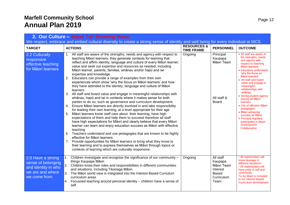| 2. Our Culture - Stand Tall Showing Mana                                                            |                                                                                                                                                                                                                                                                                                                                                                                                                                                                                                                                                                                                                                                                                                                                                                                                                                                                                                                                                                                                                                                                                                                                                                                                                                                                                                                                                                                                                                                                                                                                                                                                                                       |                                             |                                                                               |                                                                                                                                                                                                                                                                                                                                                                                                                                                                                                               |  |  |  |  |
|-----------------------------------------------------------------------------------------------------|---------------------------------------------------------------------------------------------------------------------------------------------------------------------------------------------------------------------------------------------------------------------------------------------------------------------------------------------------------------------------------------------------------------------------------------------------------------------------------------------------------------------------------------------------------------------------------------------------------------------------------------------------------------------------------------------------------------------------------------------------------------------------------------------------------------------------------------------------------------------------------------------------------------------------------------------------------------------------------------------------------------------------------------------------------------------------------------------------------------------------------------------------------------------------------------------------------------------------------------------------------------------------------------------------------------------------------------------------------------------------------------------------------------------------------------------------------------------------------------------------------------------------------------------------------------------------------------------------------------------------------------|---------------------------------------------|-------------------------------------------------------------------------------|---------------------------------------------------------------------------------------------------------------------------------------------------------------------------------------------------------------------------------------------------------------------------------------------------------------------------------------------------------------------------------------------------------------------------------------------------------------------------------------------------------------|--|--|--|--|
|                                                                                                     | We respect, embrace and embed cultural diversity to create a strong sense of identity and well being for every individual at MCS.                                                                                                                                                                                                                                                                                                                                                                                                                                                                                                                                                                                                                                                                                                                                                                                                                                                                                                                                                                                                                                                                                                                                                                                                                                                                                                                                                                                                                                                                                                     |                                             |                                                                               |                                                                                                                                                                                                                                                                                                                                                                                                                                                                                                               |  |  |  |  |
| <b>TARGET</b>                                                                                       | <b>ACTIONS</b>                                                                                                                                                                                                                                                                                                                                                                                                                                                                                                                                                                                                                                                                                                                                                                                                                                                                                                                                                                                                                                                                                                                                                                                                                                                                                                                                                                                                                                                                                                                                                                                                                        | <b>RESOURCES &amp;</b><br><b>TIME FRAME</b> | <b>PERSONNEL</b>                                                              | <b>OUTCOME</b>                                                                                                                                                                                                                                                                                                                                                                                                                                                                                                |  |  |  |  |
| 2.2 Culturally<br>responsive<br>effective teaching<br>for Māori learners                            | All staff are aware of the strengths, needs and agency with respect to<br>1.<br>teaching Māori learners; they generate contexts for learning that<br>reflect and affirm identity, language and culture of every Māori learner;<br>value and seek out expertise and resources as needed, including<br>Māori learner, parents, families, whānau and/or hapū and iwi<br>expertise and knowledge<br>2.<br>Educators can provide a range of examples from their own<br>experiences which show 'why the focus on Māori learners' and how<br>they have attended to the identity, language and culture of Māori<br>learners<br>All staff and board value and engage in meaningful relationships with<br>3.<br>whānau, hapū and iwi in contexts where it makes sense for both<br>parties to do so, such as governance and curriculum development.<br>Ensure Māori learners are directly involved in and take responsibility<br>4.<br>for leading their own learning, at a level appropriate for their age<br>Māori learners know staff care about their learning, have high<br>5.<br>expectations of them and help them to succeed therefore all staff<br>have high expectations for Māori and clearly believe that every Māori<br>learner can learn and enjoy education success as Māori with effective<br>teaching<br>Teachers understand and use pedagogies that are known to be highly<br>6.<br>effective for Māori learners.<br>Provide opportunities for Māori learners to bring what they know to<br>7.<br>their learning and to express themselves as Māori through topics or<br>contexts of learning which are culturally responsive. | Ongoing                                     | Principal<br>Kaupapa<br>Māori Team<br>All staff &<br><b>Board</b>             | • All staff are aware of<br>the strengths, needs<br>and agency with<br>respect to teaching<br>Māori learners<br>• Educators understand<br>'why the focus on<br>Māori learners'<br>• All staff and board<br>value and engage in<br>meaningful<br>relationships with<br>whānau.<br>• Strong student agency<br>among all Māori<br>learners<br>• Use of effective Māori<br>pedagogies<br>• Māori achieving<br>success as Māori.<br>• Principal regularly<br>participates in Maori<br>Achievement<br>Collaborative |  |  |  |  |
| 2.5 Have a strong<br>sense of belonging<br>and identity in who<br>we are and where<br>we come from. | Children investigate and recognise the significance of our community -<br>1.<br>things Kaupapa Māori<br>2.<br>Children know their roles and responsibilities in different communities<br>and situations, including Tikanaga Māori.<br>3. The Māori world view is integrated into the Interest Based Curriulum<br>curriculum areas<br>4. Focussed teaching around personal identity – children have a sense of<br>self.                                                                                                                                                                                                                                                                                                                                                                                                                                                                                                                                                                                                                                                                                                                                                                                                                                                                                                                                                                                                                                                                                                                                                                                                                | Ongoing                                     | All staff<br>Kaupapa<br>Māori Team<br>Interest<br>Based<br>Curriculum<br>Team | • All stakeholders will<br>know tikanaga in<br>different situations.<br>• All stakeholders will<br>have pride in self and<br>community.<br>Te Ao Maori is included<br>in our Interest Based<br>Curriculum development                                                                                                                                                                                                                                                                                         |  |  |  |  |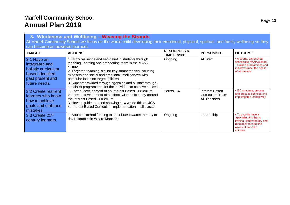|                                                                                                                                                                         | 3. Wholeness and Wellbeing - Weaving the Strands                                                                                                                                                                                                                                                                                                                                                                 |                                             |                                                                 |                                                                                                                                        |  |  |  |  |  |
|-------------------------------------------------------------------------------------------------------------------------------------------------------------------------|------------------------------------------------------------------------------------------------------------------------------------------------------------------------------------------------------------------------------------------------------------------------------------------------------------------------------------------------------------------------------------------------------------------|---------------------------------------------|-----------------------------------------------------------------|----------------------------------------------------------------------------------------------------------------------------------------|--|--|--|--|--|
| At Marfell Community School we focus on the whole child developing their emotional, physical, spiritual, and family wellbeing so they<br>can become empowered learners. |                                                                                                                                                                                                                                                                                                                                                                                                                  |                                             |                                                                 |                                                                                                                                        |  |  |  |  |  |
| <b>TARGET</b>                                                                                                                                                           | <b>ACTIONS</b>                                                                                                                                                                                                                                                                                                                                                                                                   | <b>RESOURCES &amp;</b><br><b>TIME FRAME</b> | <b>PERSONNEL</b>                                                | <b>OUTCOME</b>                                                                                                                         |  |  |  |  |  |
| 3.1 Have an<br>integrated and<br>holistic curriculum<br>based identified<br>past present and<br>future needs.                                                           | 1. Grow resilience and self-belief in students through<br>teaching, learning and embedding them in the MANA<br>culture.<br>2. Targeted teaching around key competencies including<br>mindsets and social and emotional intelligences with<br>particular focus on target children<br>3. Support provided through agencies and all staff through,<br>specialist programmes, for the individual to achieve success. | Ongoing                                     | All Staff                                                       | • A strong, entrenched<br>schoolwide MANA culture<br>• support programmes and<br>initiatives meet the needs<br>of all tamariki         |  |  |  |  |  |
| 3.2 Create resilient<br>learners who know<br>how to achieve<br>goals and embrace<br>mistakes.                                                                           | 1. Formal development of an Interest Based Curriculum<br>2. Formal development of a school wide philosophy around<br>the Interest Based Curriculum.<br>3. How to guide, created showing how we do this at MCS<br>4. Interest Based Curriculum implementation in all classes                                                                                                                                      | Terms 1-4                                   | <b>Interest Based</b><br><b>Curriculum Team</b><br>All Teachers | • IBC structure, process<br>and process definded and<br>implemented schoolwide                                                         |  |  |  |  |  |
| 3.3 Create 21st<br>century learners.                                                                                                                                    | 1. Source external funding to contribute towards the day to<br>day resources in Whare Manaaki                                                                                                                                                                                                                                                                                                                    | Ongoing                                     | Leadership                                                      | • To proudly have a<br>Specialist Unit that is<br>inviting, contemporary and<br>resourced to meet the<br>needs of our ORS<br>children. |  |  |  |  |  |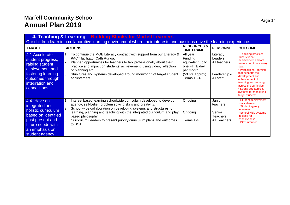| 4. Teaching & Learning - Building Blocks for Marfell Learners<br>Our children learn in a collaborative learning environment where their interests and passions drive the learning experience. |                                                                                                                                                                                                                                                                                                                                                                                                        |                                                                                                           |                                                                  |                                                                                                                                                                                                                                                                                                                |  |  |  |  |  |
|-----------------------------------------------------------------------------------------------------------------------------------------------------------------------------------------------|--------------------------------------------------------------------------------------------------------------------------------------------------------------------------------------------------------------------------------------------------------------------------------------------------------------------------------------------------------------------------------------------------------|-----------------------------------------------------------------------------------------------------------|------------------------------------------------------------------|----------------------------------------------------------------------------------------------------------------------------------------------------------------------------------------------------------------------------------------------------------------------------------------------------------------|--|--|--|--|--|
| <b>TARGET</b>                                                                                                                                                                                 | <b>ACTIONS</b>                                                                                                                                                                                                                                                                                                                                                                                         | <b>RESOURCES &amp;</b><br><b>TIME FRAME</b>                                                               | <b>PERSONNEL</b>                                                 | <b>OUTCOME</b>                                                                                                                                                                                                                                                                                                 |  |  |  |  |  |
| 4.1 Accelerate<br>student progress,<br>raising student<br>achievement and<br>fostering learning<br>outcomes through<br>integration and<br>connections.                                        | To continue the MOE Literacy contract with support from our Literacy &<br>PACT facilitator Cath Runga.<br>2.<br>Planned opportunities for teachers to talk professionally about their<br>practice and impact on students' achievement, using video, reflection<br>or planning etc.<br>Structures and systems developed around monitoring of target student<br>achievement.                             | All year<br>Funding<br>equivalent up to<br>one FTTE day<br>per month.<br>(50 hrs approx)<br>Terms $1 - 4$ | Literacy<br>Leaders<br>All teachers<br>Leadership &<br>All staff | • Teaching practices<br>raise student<br>achievement and are<br>entrenched in our every<br>dav.<br>• Professional learning<br>that supports the<br>development and<br>enhancement of<br>teaching and learning<br>across the curriculum.<br>• Strong structures &<br>systems for monitoring<br>target students. |  |  |  |  |  |
| 4.4 Have an<br>integrated and<br>holistic curriculum<br>based on identified<br>past present and<br>future needs with<br>an emphasis on<br>student agency                                      | Interest based learning schoolwide curriculum developed to develop<br>agency, self-belief, problem solving skills and creativity.<br><b>2.</b><br>School wide collaboration on developing systems and structures for<br>learning, planning and teaching with the integrated curriculum and play<br>based philosophy,<br>Curriculum Leaders to present priority curriculum plans and outcomes<br>to BOT | Ongoing<br>Ongoing<br>Terms 1-4                                                                           | Junior<br>teachers<br>Senior<br><b>Teachers</b><br>All Teachers  | • Student achievement<br>is accelerated.<br>• Student agency<br>increases.<br>• School wide systems<br>in place for<br>cohesiveness<br>• BOT informed                                                                                                                                                          |  |  |  |  |  |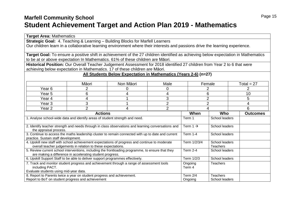### **Marfell Community School Student Achievement Target and Action Plan 2019 - Mathematics**

**Target Area:** Mathematics

| <b>Strategic Goal:</b> 4. Teaching & Learning - Building Blocks for Marfell Learners<br>Our children learn in a collaborative learning environment where their interests and passions drive the learning experience. |                                                                                                                         |                                                                  |                |                      |                 |  |                         |  |  |
|----------------------------------------------------------------------------------------------------------------------------------------------------------------------------------------------------------------------|-------------------------------------------------------------------------------------------------------------------------|------------------------------------------------------------------|----------------|----------------------|-----------------|--|-------------------------|--|--|
| Target Goal: To ensure a positive shift in achievement of the 27 children identified as achieving below expectation in Mathematics                                                                                   |                                                                                                                         |                                                                  |                |                      |                 |  |                         |  |  |
| to be at or above expectation In Mathematics. 61% of these children are Māori.                                                                                                                                       |                                                                                                                         |                                                                  |                |                      |                 |  |                         |  |  |
| Historical Position: Our Overall Teacher Judgement Assessment for 2018 identified 27 children from Year 2 to 6 that were<br>achieving below expectation in Mathematics. 17 of these children are Māori.              |                                                                                                                         |                                                                  |                |                      |                 |  |                         |  |  |
|                                                                                                                                                                                                                      |                                                                                                                         |                                                                  |                |                      |                 |  |                         |  |  |
|                                                                                                                                                                                                                      |                                                                                                                         | All Students Below Expectation in Mathematics (Years 2-6) (n=27) |                |                      |                 |  |                         |  |  |
|                                                                                                                                                                                                                      | Māori                                                                                                                   | Non Māori                                                        | Male           |                      | Female          |  | Total = $27$            |  |  |
| Year <sub>6</sub>                                                                                                                                                                                                    | 2                                                                                                                       | 0                                                                | 0              |                      | $\overline{2}$  |  | $\overline{2}$          |  |  |
| Year <sub>5</sub>                                                                                                                                                                                                    | 6                                                                                                                       | 4                                                                | 4              |                      | 6               |  | 10                      |  |  |
| Year 4                                                                                                                                                                                                               | 4                                                                                                                       |                                                                  | 3              |                      | $\overline{2}$  |  | 5                       |  |  |
| Year <sub>3</sub>                                                                                                                                                                                                    | 3                                                                                                                       |                                                                  | $\overline{2}$ |                      | $\overline{2}$  |  | $\overline{\mathbf{4}}$ |  |  |
| Year <sub>2</sub>                                                                                                                                                                                                    | $\overline{2}$                                                                                                          | 4                                                                | $\overline{2}$ |                      | 4               |  | 6                       |  |  |
|                                                                                                                                                                                                                      | <b>Actions</b>                                                                                                          |                                                                  |                | When                 | Who             |  | <b>Outcomes</b>         |  |  |
| 1. Analyse school-wide data and identify areas of student strength and need.                                                                                                                                         |                                                                                                                         |                                                                  |                | Term 1               | School leaders  |  |                         |  |  |
|                                                                                                                                                                                                                      |                                                                                                                         |                                                                  |                |                      |                 |  |                         |  |  |
| 2. Identify teacher strength and needs through in class observations and learning conversations and                                                                                                                  |                                                                                                                         |                                                                  |                | Term 1 $\rightarrow$ | School leaders  |  |                         |  |  |
| the appraisal process.<br>3. Continue to access the maths leadership cluster to remain connected with up to date and current                                                                                         |                                                                                                                         |                                                                  |                | Term 1-4             | School leaders  |  |                         |  |  |
| practice. Sustain staff development.                                                                                                                                                                                 |                                                                                                                         |                                                                  |                |                      |                 |  |                         |  |  |
| 4. Upskill new staff with school achievement expectations of progress and continue to moderate                                                                                                                       |                                                                                                                         |                                                                  |                | Term 1/2/3/4         | School leaders  |  |                         |  |  |
|                                                                                                                                                                                                                      | overall teacher judgements in relation to these expectations.                                                           |                                                                  |                |                      | <b>Teachers</b> |  |                         |  |  |
| 5. Review current school interventions, including the frontloading programme, to ensure that they                                                                                                                    |                                                                                                                         |                                                                  |                | <b>Term 2-4</b>      | School leaders  |  |                         |  |  |
|                                                                                                                                                                                                                      | are making a difference in accelerating student progress.                                                               |                                                                  |                |                      |                 |  |                         |  |  |
| 6. Upskill Support Staff to be able to deliver support programmes effectively.                                                                                                                                       |                                                                                                                         |                                                                  |                | Term 1/2/3           | School leaders  |  |                         |  |  |
|                                                                                                                                                                                                                      | 7. Track and monitor student progress and achievement through a range of assessment tools<br>Ongoing<br><b>Teachers</b> |                                                                  |                |                      |                 |  |                         |  |  |
| including PACT.<br>Evaluate students using mid-year data.                                                                                                                                                            |                                                                                                                         |                                                                  |                | Term 4               |                 |  |                         |  |  |
| 8. Report to Parents twice a year on student progress and achievement.                                                                                                                                               |                                                                                                                         |                                                                  |                | Term 2/4             | <b>Teachers</b> |  |                         |  |  |
| Report to BoT on student progress and achievement                                                                                                                                                                    |                                                                                                                         |                                                                  |                | Ongoing              | School leaders  |  |                         |  |  |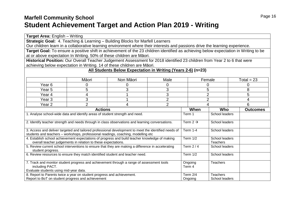### **Marfell Community School Student Achievement Target and Action Plan 2019 - Writing**

**Target Area:** English – Writing

| Strategic Goal: 4. Teaching & Learning - Building Blocks for Marfell Learners                                                |                                                                                                                                      |                                                              |                |                      |                                   |                 |  |  |  |  |
|------------------------------------------------------------------------------------------------------------------------------|--------------------------------------------------------------------------------------------------------------------------------------|--------------------------------------------------------------|----------------|----------------------|-----------------------------------|-----------------|--|--|--|--|
| Our children learn in a collaborative learning environment where their interests and passions drive the learning experience. |                                                                                                                                      |                                                              |                |                      |                                   |                 |  |  |  |  |
|                                                                                                                              | Target Goal: To ensure a positive shift in achievement of the 23 children identified as achieving below expectation in Writing to be |                                                              |                |                      |                                   |                 |  |  |  |  |
| at or above expectation In Writing. 50% of these children are Māori.                                                         |                                                                                                                                      |                                                              |                |                      |                                   |                 |  |  |  |  |
| Historical Position: Our Overall Teacher Judgement Assessment for 2018 identified 23 children from Year 2 to 6 that were     |                                                                                                                                      |                                                              |                |                      |                                   |                 |  |  |  |  |
| achieving below expectation in Writing. 14 of these children are Māori.                                                      |                                                                                                                                      |                                                              |                |                      |                                   |                 |  |  |  |  |
|                                                                                                                              |                                                                                                                                      | All Students Below Expectation in Writing (Years 2-6) (n=23) |                |                      |                                   |                 |  |  |  |  |
|                                                                                                                              | Māori                                                                                                                                | Non Māori                                                    | Male           |                      | Female                            | Total = $23$    |  |  |  |  |
| Year 6                                                                                                                       | 0                                                                                                                                    | 0                                                            | 0              |                      | 0                                 | 0               |  |  |  |  |
| Year <sub>5</sub>                                                                                                            | 5                                                                                                                                    | 3                                                            | 3              |                      | 5                                 | 8               |  |  |  |  |
| Year 4                                                                                                                       | 4                                                                                                                                    |                                                              | 3              |                      | $\overline{2}$                    | 5               |  |  |  |  |
| Year <sub>3</sub>                                                                                                            | 3                                                                                                                                    |                                                              | $\overline{2}$ |                      | $\overline{2}$<br>4               |                 |  |  |  |  |
| Year <sub>2</sub>                                                                                                            | $\overline{2}$                                                                                                                       | 4                                                            | $\overline{2}$ |                      | 4                                 | 6               |  |  |  |  |
|                                                                                                                              | <b>Actions</b>                                                                                                                       |                                                              |                | When                 | Who                               | <b>Outcomes</b> |  |  |  |  |
| 1. Analyse school-wide data and identify areas of student strength and need.                                                 |                                                                                                                                      |                                                              |                | Term 1               | School leaders                    |                 |  |  |  |  |
| 2. Identify teacher strength and needs through in class observations and learning conversations.                             |                                                                                                                                      |                                                              |                | Term 2 $\rightarrow$ | School leaders                    |                 |  |  |  |  |
|                                                                                                                              |                                                                                                                                      |                                                              |                |                      |                                   |                 |  |  |  |  |
| 3. Access and deliver targeted and tailored professional development to meet the identified needs of                         |                                                                                                                                      |                                                              |                | <b>Term 1-4</b>      | School leaders                    |                 |  |  |  |  |
| students and teachers - workshops, professional readings, coaching, modelling etc                                            |                                                                                                                                      |                                                              |                |                      |                                   |                 |  |  |  |  |
| 4. Establish school achievement expectations of progress and build teacher knowledge of making                               | overall teacher judgements in relation to these expectations.                                                                        |                                                              |                | Term 1/2             | School leaders<br><b>Teachers</b> |                 |  |  |  |  |
| 5. Review current school interventions to ensure that they are making a difference in accelerating                           |                                                                                                                                      |                                                              |                | Term $2/4$           | School leaders                    |                 |  |  |  |  |
| student progress.                                                                                                            |                                                                                                                                      |                                                              |                |                      |                                   |                 |  |  |  |  |
| 6. Review resources to ensure they match identified student and teacher need.                                                |                                                                                                                                      |                                                              |                | Term $1/2$           | School leaders                    |                 |  |  |  |  |
| 7. Track and monitor student progress and achievement through a range of assessment tools                                    |                                                                                                                                      |                                                              |                | Ongoing              | <b>Teachers</b>                   |                 |  |  |  |  |
| including PACT.                                                                                                              |                                                                                                                                      |                                                              |                | Term 4               |                                   |                 |  |  |  |  |
| Evaluate students using mid-year data.<br>8. Report to Parents twice a year on student progress and achievement.             |                                                                                                                                      |                                                              |                | <b>Term 2/4</b>      | <b>Teachers</b>                   |                 |  |  |  |  |
| Report to BoT on student progress and achievement                                                                            |                                                                                                                                      |                                                              |                | Ongoing              | School leaders                    |                 |  |  |  |  |
|                                                                                                                              |                                                                                                                                      |                                                              |                |                      |                                   |                 |  |  |  |  |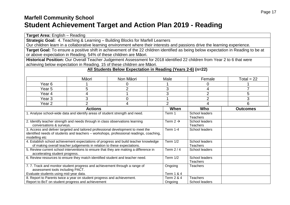### **Marfell Community School Student Achievement Target and Action Plan 2019 - Reading**

| Target Area: English - Reading                                                                                                      |                                                                         |                                                                                         |                       |                            |                 |  |  |  |  |
|-------------------------------------------------------------------------------------------------------------------------------------|-------------------------------------------------------------------------|-----------------------------------------------------------------------------------------|-----------------------|----------------------------|-----------------|--|--|--|--|
| Strategic Goal: 4. Teaching & Learning - Building Blocks for Marfell Learners                                                       |                                                                         |                                                                                         |                       |                            |                 |  |  |  |  |
| Our children learn in a collaborative learning environment where their interests and passions drive the learning experience.        |                                                                         |                                                                                         |                       |                            |                 |  |  |  |  |
| Target Goal: To ensure a positive shift in achievement of the 22 children identified as being below expectation in Reading to be at |                                                                         |                                                                                         |                       |                            |                 |  |  |  |  |
| or above expectation in Reading. 54% of these children are Māori.                                                                   |                                                                         |                                                                                         |                       |                            |                 |  |  |  |  |
| Historical Position: Our Overall Teacher Judgement Assessment for 2018 identified 22 children from Year 2 to 6 that were            |                                                                         |                                                                                         |                       |                            |                 |  |  |  |  |
| achieving below expectation in Reading. 15 of these children are Māori.                                                             |                                                                         |                                                                                         |                       |                            |                 |  |  |  |  |
|                                                                                                                                     |                                                                         | All Students Below Expectation in Reading (Years 2-6) (n=22)                            |                       |                            |                 |  |  |  |  |
|                                                                                                                                     |                                                                         |                                                                                         |                       |                            |                 |  |  |  |  |
|                                                                                                                                     | Māori                                                                   | Non Māori                                                                               | Male                  | Female                     | Total = $22$    |  |  |  |  |
| Year <sub>6</sub>                                                                                                                   |                                                                         | 0                                                                                       |                       | 0                          |                 |  |  |  |  |
| Year <sub>5</sub>                                                                                                                   | 5                                                                       | $\overline{2}$                                                                          | 3                     | 4                          | 7               |  |  |  |  |
| Year <sub>4</sub>                                                                                                                   | 4                                                                       |                                                                                         | 3                     | $\overline{2}$             | 5               |  |  |  |  |
| Year <sub>3</sub>                                                                                                                   | 3                                                                       | 0                                                                                       |                       | $\overline{2}$             | 3               |  |  |  |  |
| Year <sub>2</sub>                                                                                                                   | $\overline{2}$                                                          | 4                                                                                       | $\overline{2}$        | 4                          | 6               |  |  |  |  |
|                                                                                                                                     | <b>Actions</b>                                                          |                                                                                         | When                  | Who                        | <b>Outcomes</b> |  |  |  |  |
| 1. Analyse school-wide data and identify areas of student strength and need.                                                        |                                                                         |                                                                                         | Term 1                | School leaders             |                 |  |  |  |  |
|                                                                                                                                     |                                                                         |                                                                                         |                       | Teachers                   |                 |  |  |  |  |
| 2. Identify teacher strength and needs through in class observations learning                                                       |                                                                         |                                                                                         | Term 2 $\rightarrow$  | School leaders             |                 |  |  |  |  |
| conversations & surveys.                                                                                                            |                                                                         | 3. Access and deliver targeted and tailored professional development to meet the        | <b>Term 1-4</b>       | Teachers<br>School leaders |                 |  |  |  |  |
|                                                                                                                                     |                                                                         | identified needs of students and teachers - workshops, professional readings, coaching, |                       |                            |                 |  |  |  |  |
| modelling etc                                                                                                                       |                                                                         |                                                                                         |                       |                            |                 |  |  |  |  |
|                                                                                                                                     |                                                                         | 4. Establish school achievement expectations of progress and build teacher knowledge    | Term $1/2$            | School leaders             |                 |  |  |  |  |
|                                                                                                                                     | of making overall teacher judgements in relation to these expectations. |                                                                                         |                       | Teachers                   |                 |  |  |  |  |
|                                                                                                                                     |                                                                         | 5. Review current school interventions to ensure that they are making a difference in   | Term $2/4$            | School leaders             |                 |  |  |  |  |
| accelerating student progress.<br>6. Review resources to ensure they match identified student and teacher need.                     |                                                                         |                                                                                         | Term $1/2$            | School leaders             |                 |  |  |  |  |
|                                                                                                                                     |                                                                         |                                                                                         |                       | <b>Teachers</b>            |                 |  |  |  |  |
| 7.7. Track and monitor student progress and achievement through a range of                                                          |                                                                         |                                                                                         | Ongoing               | <b>Teachers</b>            |                 |  |  |  |  |
| assessment tools including PACT.                                                                                                    |                                                                         |                                                                                         |                       |                            |                 |  |  |  |  |
| Evaluate students using mid-year data.                                                                                              |                                                                         |                                                                                         | Term 1 & 4            |                            |                 |  |  |  |  |
| 8. Report to Parents twice a year on student progress and achievement.                                                              |                                                                         |                                                                                         | <b>Term 2 &amp; 4</b> | <b>Teachers</b>            |                 |  |  |  |  |
| Report to BoT on student progress and achievement                                                                                   |                                                                         |                                                                                         | Ongoing               | School leaders             |                 |  |  |  |  |